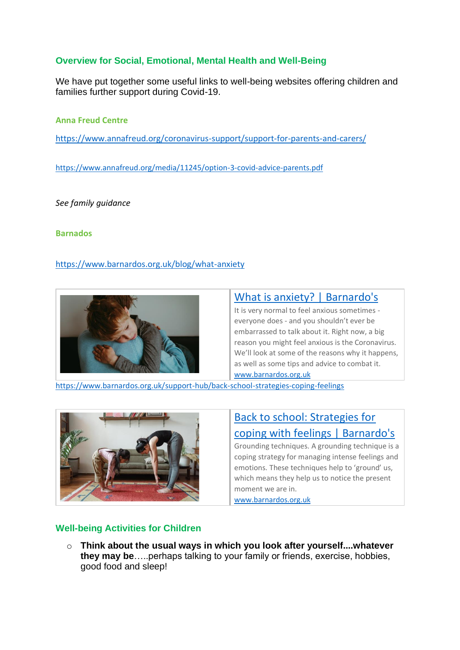## **Overview for Social, Emotional, Mental Health and Well-Being**

We have put together some useful links to well-being websites offering children and families further support during Covid-19.

**Anna Freud Centre** 

<https://www.annafreud.org/coronavirus-support/support-for-parents-and-carers/>

<https://www.annafreud.org/media/11245/option-3-covid-advice-parents.pdf>

*See family guidance*

**Barnados**

<https://www.barnardos.org.uk/blog/what-anxiety>



# [What is anxiety? | Barnardo's](https://www.barnardos.org.uk/blog/what-anxiety)

It is very normal to feel anxious sometimes everyone does - and you shouldn't ever be embarrassed to talk about it. Right now, a big reason you might feel anxious is the Coronavirus. We'll look at some of the reasons why it happens. as well as some tips and advice to combat it. www.barnardos.org.uk

<https://www.barnardos.org.uk/support-hub/back-school-strategies-coping-feelings>



# [Back to school: Strategies for](https://www.barnardos.org.uk/support-hub/back-school-strategies-coping-feelings)  [coping with feelings | Barnardo's](https://www.barnardos.org.uk/support-hub/back-school-strategies-coping-feelings) Grounding techniques. A grounding technique is a

coping strategy for managing intense feelings and emotions. These techniques help to 'ground' us, which means they help us to notice the present moment we are in.

www.barnardos.org.uk

## **Well-being Activities for Children**

o **Think about the usual ways in which you look after yourself....whatever they may be**…..perhaps talking to your family or friends, exercise, hobbies, good food and sleep!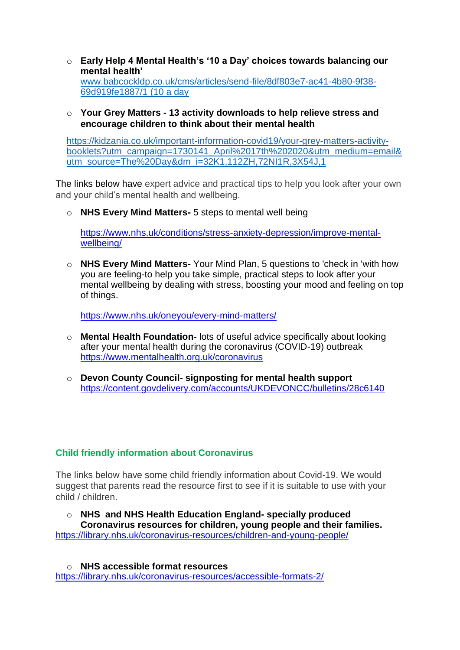- o **Early Help 4 Mental Health's '10 a Day' choices towards balancing our mental health'** [www.babcockldp.co.uk/cms/articles/send-file/8df803e7-ac41-4b80-9f38-](http://www.babcockldp.co.uk/cms/articles/send-file/8df803e7-ac41-4b80-9f38-69d919fe1887/1) [69d919fe1887/1](http://www.babcockldp.co.uk/cms/articles/send-file/8df803e7-ac41-4b80-9f38-69d919fe1887/1) (10 a day
- o **Your Grey Matters - 13 activity downloads to help relieve stress and encourage children to think about their mental health**

[https://kidzania.co.uk/important-information-covid19/your-grey-matters-activity](https://kidzania.co.uk/important-information-covid19/your-grey-matters-activity-booklets?utm_campaign=1730141_April%2017th%202020&utm_medium=email&utm_source=The%20Day&dm_i=32K1,112ZH,72NI1R,3X54J,1)[booklets?utm\\_campaign=1730141\\_April%2017th%202020&utm\\_medium=email&](https://kidzania.co.uk/important-information-covid19/your-grey-matters-activity-booklets?utm_campaign=1730141_April%2017th%202020&utm_medium=email&utm_source=The%20Day&dm_i=32K1,112ZH,72NI1R,3X54J,1) [utm\\_source=The%20Day&dm\\_i=32K1,112ZH,72NI1R,3X54J,1](https://kidzania.co.uk/important-information-covid19/your-grey-matters-activity-booklets?utm_campaign=1730141_April%2017th%202020&utm_medium=email&utm_source=The%20Day&dm_i=32K1,112ZH,72NI1R,3X54J,1)

The links below have expert advice and practical tips to help you look after your own and your child's mental health and wellbeing.

o **NHS Every Mind Matters-** 5 steps to mental well being

[https://www.nhs.uk/conditions/stress-anxiety-depression/improve-mental](https://www.nhs.uk/conditions/stress-anxiety-depression/improve-mental-wellbeing/)[wellbeing/](https://www.nhs.uk/conditions/stress-anxiety-depression/improve-mental-wellbeing/)

o **NHS Every Mind Matters-** Your Mind Plan, 5 questions to 'check in 'with how you are feeling-to help you take simple, practical steps to look after your mental wellbeing by dealing with stress, boosting your mood and feeling on top of things.

<https://www.nhs.uk/oneyou/every-mind-matters/>

- o **Mental Health Foundation-** lots of useful advice specifically about looking after your mental health during the coronavirus (COVID-19) outbreak <https://www.mentalhealth.org.uk/coronavirus>
- o **Devon County Council- signposting for mental health support** <https://content.govdelivery.com/accounts/UKDEVONCC/bulletins/28c6140>

### **Child friendly information about Coronavirus**

The links below have some child friendly information about Covid-19. We would suggest that parents read the resource first to see if it is suitable to use with your child / children.

o **NHS and NHS Health Education England- specially produced Coronavirus resources for children, young people and their families.** <https://library.nhs.uk/coronavirus-resources/children-and-young-people/>

o **NHS accessible format resources**  <https://library.nhs.uk/coronavirus-resources/accessible-formats-2/>